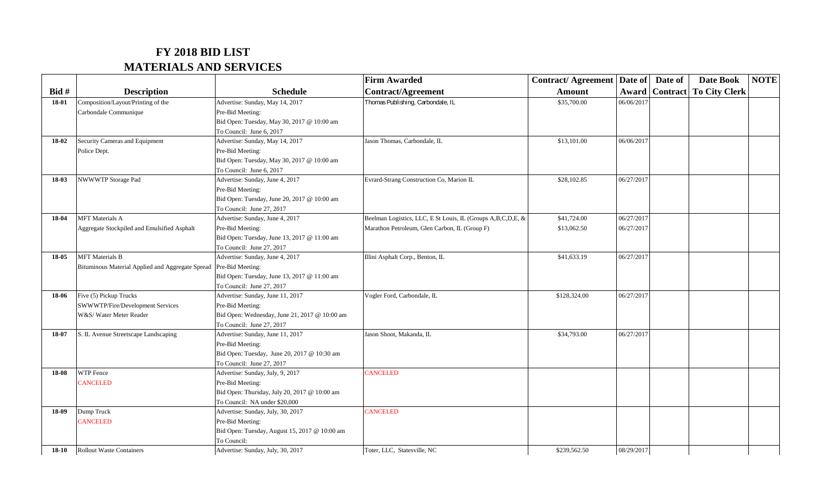## **FY 2018 BID LIST MATERIALS AND SERVICES**

|         |                                                  |                                               | <b>Firm Awarded</b>                                         | <b>Contract/Agreement   Date of  </b> |            | Date of | <b>Date Book</b>                        | <b>NOTE</b> |
|---------|--------------------------------------------------|-----------------------------------------------|-------------------------------------------------------------|---------------------------------------|------------|---------|-----------------------------------------|-------------|
| Bid #   | <b>Description</b>                               | <b>Schedule</b>                               | <b>Contract/Agreement</b>                                   | <b>Amount</b>                         |            |         | <b>Award   Contract   To City Clerk</b> |             |
| 18-01   | Composition/Layout/Printing of the               | Advertise: Sunday, May 14, 2017               | Thomas Publishing, Carbondale, IL                           | \$35,700.00                           | 06/06/2017 |         |                                         |             |
|         | Carbondale Communique                            | Pre-Bid Meeting:                              |                                                             |                                       |            |         |                                         |             |
|         |                                                  | Bid Open: Tuesday, May 30, 2017 @ 10:00 am    |                                                             |                                       |            |         |                                         |             |
|         |                                                  | To Council: June 6, 2017                      |                                                             |                                       |            |         |                                         |             |
| 18-02   | Security Cameras and Equipment                   | Advertise: Sunday, May 14, 2017               | Jason Thomas, Carbondale, IL                                | \$13,101.00                           | 06/06/2017 |         |                                         |             |
|         | Police Dept.                                     | Pre-Bid Meeting:                              |                                                             |                                       |            |         |                                         |             |
|         |                                                  | Bid Open: Tuesday, May 30, 2017 @ 10:00 am    |                                                             |                                       |            |         |                                         |             |
|         |                                                  | To Council: June 6, 2017                      |                                                             |                                       |            |         |                                         |             |
| 18-03   | NWWWTP Storage Pad                               | Advertise: Sunday, June 4, 2017               | Evrard-Strang Construction Co, Marion IL                    | \$28,102.85                           | 06/27/2017 |         |                                         |             |
|         |                                                  | Pre-Bid Meeting:                              |                                                             |                                       |            |         |                                         |             |
|         |                                                  | Bid Open: Tuesday, June 20, 2017 @ 10:00 am   |                                                             |                                       |            |         |                                         |             |
|         |                                                  | To Council: June 27, 2017                     |                                                             |                                       |            |         |                                         |             |
| 18-04   | <b>MFT</b> Materials A                           | Advertise: Sunday, June 4, 2017               | Beelman Logistics, LLC, E St Louis, IL (Groups A,B,C,D,E, & | \$41,724.00                           | 06/27/2017 |         |                                         |             |
|         | Aggregate Stockpiled and Emulsified Asphalt      | Pre-Bid Meeting:                              | Marathon Petroleum, Glen Carbon, IL (Group F)               | \$13,062.50                           | 06/27/2017 |         |                                         |             |
|         |                                                  | Bid Open: Tuesday, June 13, 2017 @ 11:00 am   |                                                             |                                       |            |         |                                         |             |
|         |                                                  | To Council: June 27, 2017                     |                                                             |                                       |            |         |                                         |             |
| 18-05   | <b>MFT</b> Materials B                           | Advertise: Sunday, June 4, 2017               | Illini Asphalt Corp., Benton, IL                            | \$41,633.19                           | 06/27/2017 |         |                                         |             |
|         | Bituminous Material Applied and Aggregate Spread | Pre-Bid Meeting:                              |                                                             |                                       |            |         |                                         |             |
|         |                                                  | Bid Open: Tuesday, June 13, 2017 @ 11:00 am   |                                                             |                                       |            |         |                                         |             |
|         |                                                  | To Council: June 27, 2017                     |                                                             |                                       |            |         |                                         |             |
| 18-06   | Five (5) Pickup Trucks                           | Advertise: Sunday, June 11, 2017              | Vogler Ford, Carbondale, IL                                 | \$128,324.00                          | 06/27/2017 |         |                                         |             |
|         | SWWWTP/Fire/Development Services                 | Pre-Bid Meeting:                              |                                                             |                                       |            |         |                                         |             |
|         | W&S/Water Meter Reader                           | Bid Open: Wednesday, June 21, 2017 @ 10:00 am |                                                             |                                       |            |         |                                         |             |
|         |                                                  | To Council: June 27, 2017                     |                                                             |                                       |            |         |                                         |             |
| 18-07   | S. IL Avenue Streetscape Landscaping             | Advertise: Sunday, June 11, 2017              | Jason Shoot, Makanda, IL                                    | \$34,793.00                           | 06/27/2017 |         |                                         |             |
|         |                                                  | Pre-Bid Meeting:                              |                                                             |                                       |            |         |                                         |             |
|         |                                                  | Bid Open: Tuesday, June 20, 2017 @ 10:30 am   |                                                             |                                       |            |         |                                         |             |
|         |                                                  | To Council: June 27, 2017                     |                                                             |                                       |            |         |                                         |             |
| 18-08   | WTP Fence                                        | Advertise: Sunday, July, 9, 2017              | <b>CANCELED</b>                                             |                                       |            |         |                                         |             |
|         | <b>CANCELED</b>                                  | Pre-Bid Meeting:                              |                                                             |                                       |            |         |                                         |             |
|         |                                                  | Bid Open: Thursday, July 20, 2017 @ 10:00 am  |                                                             |                                       |            |         |                                         |             |
|         |                                                  | To Council: NA under \$20,000                 |                                                             |                                       |            |         |                                         |             |
| 18-09   | Dump Truck                                       | Advertise: Sunday, July, 30, 2017             | CANCELED                                                    |                                       |            |         |                                         |             |
|         | <b>CANCELED</b>                                  | Pre-Bid Meeting:                              |                                                             |                                       |            |         |                                         |             |
|         |                                                  | Bid Open: Tuesday, August 15, 2017 @ 10:00 am |                                                             |                                       |            |         |                                         |             |
|         |                                                  | To Council:                                   |                                                             |                                       |            |         |                                         |             |
| $18-10$ | <b>Rollout Waste Containers</b>                  | Advertise: Sunday, July, 30, 2017             | Toter, LLC, Statesville, NC                                 | \$239,562.50                          | 08/29/2017 |         |                                         |             |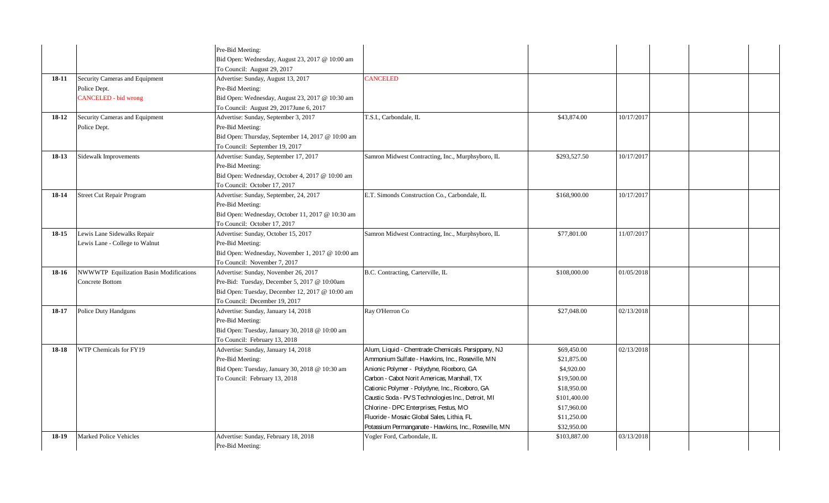|           |                                         | Pre-Bid Meeting:                                                                |                                                       |              |            |  |  |
|-----------|-----------------------------------------|---------------------------------------------------------------------------------|-------------------------------------------------------|--------------|------------|--|--|
|           |                                         | Bid Open: Wednesday, August 23, 2017 @ 10:00 am                                 |                                                       |              |            |  |  |
|           |                                         | To Council: August 29, 2017                                                     |                                                       |              |            |  |  |
| 18-11     | Security Cameras and Equipment          | Advertise: Sunday, August 13, 2017                                              | <b>CANCELED</b>                                       |              |            |  |  |
|           | Police Dept.                            | Pre-Bid Meeting:                                                                |                                                       |              |            |  |  |
|           | <b>CANCELED</b> - bid wrong             | Bid Open: Wednesday, August 23, 2017 @ 10:30 am                                 |                                                       |              |            |  |  |
|           |                                         | To Council: August 29, 2017June 6, 2017                                         |                                                       |              |            |  |  |
| $18-12$   | Security Cameras and Equipment          | Advertise: Sunday, September 3, 2017                                            | T.S.I., Carbondale, IL                                | \$43,874.00  | 10/17/2017 |  |  |
|           | Police Dept.                            | Pre-Bid Meeting:                                                                |                                                       |              |            |  |  |
|           |                                         | Bid Open: Thursday, September 14, 2017 @ 10:00 am                               |                                                       |              |            |  |  |
|           |                                         | To Council: September 19, 2017                                                  |                                                       |              |            |  |  |
| $18-13$   | <b>Sidewalk Improvements</b>            | Advertise: Sunday, September 17, 2017                                           | Samron Midwest Contracting, Inc., Murphsyboro, IL     | \$293,527.50 | 10/17/2017 |  |  |
|           |                                         | Pre-Bid Meeting:                                                                |                                                       |              |            |  |  |
|           |                                         | Bid Open: Wednesday, October 4, 2017 @ 10:00 am                                 |                                                       |              |            |  |  |
|           |                                         | To Council: October 17, 2017                                                    |                                                       |              |            |  |  |
| 18-14     | <b>Street Cut Repair Program</b>        | Advertise: Sunday, September, 24, 2017                                          | E.T. Simonds Construction Co., Carbondale, IL         | \$168,900.00 | 10/17/2017 |  |  |
|           |                                         | Pre-Bid Meeting:                                                                |                                                       |              |            |  |  |
|           |                                         | Bid Open: Wednesday, October 11, 2017 @ 10:30 am                                |                                                       |              |            |  |  |
|           |                                         | To Council: October 17, 2017                                                    |                                                       |              |            |  |  |
| $18 - 15$ | Lewis Lane Sidewalks Repair             | Advertise: Sunday, October 15, 2017                                             | Samron Midwest Contracting, Inc., Murphsyboro, IL     | \$77,801.00  | 11/07/2017 |  |  |
|           | Lewis Lane - College to Walnut          | Pre-Bid Meeting:                                                                |                                                       |              |            |  |  |
|           |                                         | Bid Open: Wednesday, November 1, 2017 @ 10:00 am                                |                                                       |              |            |  |  |
|           |                                         | To Council: November 7, 2017                                                    |                                                       |              |            |  |  |
| 18-16     | NWWWTP Equilization Basin Modifications | Advertise: Sunday, November 26, 2017                                            | B.C. Contracting, Carterville, IL                     | \$108,000.00 | 01/05/2018 |  |  |
|           | Concrete Bottom                         | Pre-Bid: Tuesday, December 5, 2017 @ 10:00am                                    |                                                       |              |            |  |  |
|           |                                         | Bid Open: Tuesday, December 12, 2017 @ 10:00 am                                 |                                                       |              |            |  |  |
|           |                                         | To Council: December 19, 2017                                                   |                                                       |              |            |  |  |
| 18-17     | <b>Police Duty Handguns</b>             | Advertise: Sunday, January 14, 2018                                             | Ray O'Herron Co                                       | \$27,048.00  | 02/13/2018 |  |  |
|           |                                         | Pre-Bid Meeting:                                                                |                                                       |              |            |  |  |
|           |                                         | Bid Open: Tuesday, January 30, 2018 @ 10:00 am<br>To Council: February 13, 2018 |                                                       |              |            |  |  |
| 18-18     | WTP Chemicals for FY19                  | Advertise: Sunday, January 14, 2018                                             | Alum, Liquid - Chemtrade Chemicals. Parsippany, NJ    | \$69,450.00  | 02/13/2018 |  |  |
|           |                                         | Pre-Bid Meeting:                                                                | Ammonium Sulfate - Hawkins, Inc., Roseville, MN       | \$21,875.00  |            |  |  |
|           |                                         | Bid Open: Tuesday, January 30, 2018 @ 10:30 am                                  | Anionic Polymer - Polydyne, Riceboro, GA              | \$4,920.00   |            |  |  |
|           |                                         | To Council: February 13, 2018                                                   | Carbon - Cabot Norit Americas, Marshall, TX           | \$19,500.00  |            |  |  |
|           |                                         |                                                                                 | Cationic Polymer - Polydyne, Inc., Riceboro, GA       | \$18,950.00  |            |  |  |
|           |                                         |                                                                                 | Caustic Soda - PVS Technologies Inc., Detroit, MI     | \$101,400.00 |            |  |  |
|           |                                         |                                                                                 | Chlorine - DPC Enterprises, Festus, MO                | \$17,960.00  |            |  |  |
|           |                                         |                                                                                 | Fluoride - Mosaic Global Sales, Lithia, FL            | \$11,250.00  |            |  |  |
|           |                                         |                                                                                 | Potassium Permanganate - Hawkins, Inc., Roseville, MN | \$32,950.00  |            |  |  |
| $18-19$   | <b>Marked Police Vehicles</b>           | Advertise: Sunday, February 18, 2018                                            | Vogler Ford, Carbondale, IL                           | \$103,887.00 | 03/13/2018 |  |  |
|           |                                         | Pre-Bid Meeting:                                                                |                                                       |              |            |  |  |